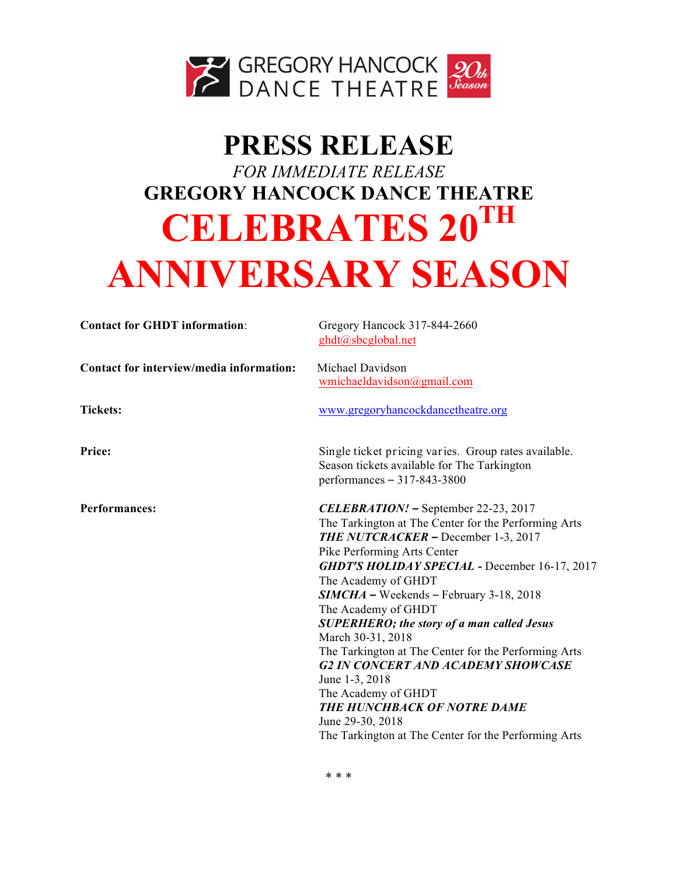

# **PRESS RELEASE** *FOR IMMEDIATE RELEASE* **GREGORY HANCOCK DANCE THEATRE CELEBRATES 20TH ANNIVERSARY SEASON**

| <b>Contact for GHDT information:</b>     | Gregory Hancock 317-844-2660<br>ghdt@sbcglobal.net                                                                                                                                                                                                                                                                                                                                                                                                                                                                                                                                                                                                                     |
|------------------------------------------|------------------------------------------------------------------------------------------------------------------------------------------------------------------------------------------------------------------------------------------------------------------------------------------------------------------------------------------------------------------------------------------------------------------------------------------------------------------------------------------------------------------------------------------------------------------------------------------------------------------------------------------------------------------------|
| Contact for interview/media information: | Michael Davidson<br>wmichaeldavidson@gmail.com                                                                                                                                                                                                                                                                                                                                                                                                                                                                                                                                                                                                                         |
| <b>Tickets:</b>                          | www.gregoryhancockdancetheatre.org                                                                                                                                                                                                                                                                                                                                                                                                                                                                                                                                                                                                                                     |
| Price:                                   | Single ticket pricing varies. Group rates available.<br>Season tickets available for The Tarkington<br>performances $-317-843-3800$                                                                                                                                                                                                                                                                                                                                                                                                                                                                                                                                    |
| <b>Performances:</b>                     | <b>CELEBRATION!</b> - September 22-23, 2017<br>The Tarkington at The Center for the Performing Arts<br><b>THE NUTCRACKER – December 1-3, 2017</b><br>Pike Performing Arts Center<br><b>GHDT'S HOLIDAY SPECIAL - December 16-17, 2017</b><br>The Academy of GHDT<br>$SIMCHA$ – Weekends – February 3-18, 2018<br>The Academy of GHDT<br><b>SUPERHERO; the story of a man called Jesus</b><br>March 30-31, 2018<br>The Tarkington at The Center for the Performing Arts<br><b>G2 IN CONCERT AND ACADEMY SHOWCASE</b><br>June 1-3, 2018<br>The Academy of GHDT<br>THE HUNCHBACK OF NOTRE DAME<br>June 29-30, 2018<br>The Tarkington at The Center for the Performing Arts |

\* \* \*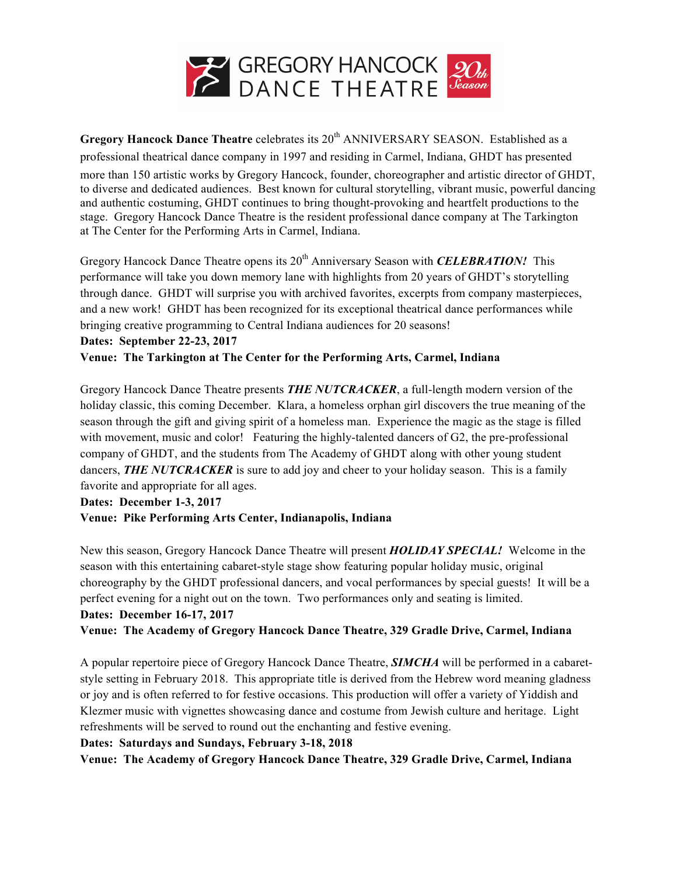

**Gregory Hancock Dance Theatre celebrates its 20<sup>th</sup> ANNIVERSARY SEASON. Established as a** professional theatrical dance company in 1997 and residing in Carmel, Indiana, GHDT has presented

more than 150 artistic works by Gregory Hancock, founder, choreographer and artistic director of GHDT, to diverse and dedicated audiences. Best known for cultural storytelling, vibrant music, powerful dancing and authentic costuming, GHDT continues to bring thought-provoking and heartfelt productions to the stage. Gregory Hancock Dance Theatre is the resident professional dance company at The Tarkington at The Center for the Performing Arts in Carmel, Indiana.

Gregory Hancock Dance Theatre opens its 20<sup>th</sup> Anniversary Season with *CELEBRATION!* This performance will take you down memory lane with highlights from 20 years of GHDT's storytelling through dance. GHDT will surprise you with archived favorites, excerpts from company masterpieces, and a new work! GHDT has been recognized for its exceptional theatrical dance performances while bringing creative programming to Central Indiana audiences for 20 seasons!

#### **Dates: September 22-23, 2017**

**Venue: The Tarkington at The Center for the Performing Arts, Carmel, Indiana**

Gregory Hancock Dance Theatre presents *THE NUTCRACKER*, a full-length modern version of the holiday classic, this coming December. Klara, a homeless orphan girl discovers the true meaning of the season through the gift and giving spirit of a homeless man. Experience the magic as the stage is filled with movement, music and color! Featuring the highly-talented dancers of G2, the pre-professional company of GHDT, and the students from The Academy of GHDT along with other young student dancers, **THE NUTCRACKER** is sure to add joy and cheer to your holiday season. This is a family favorite and appropriate for all ages.

**Dates: December 1-3, 2017 Venue: Pike Performing Arts Center, Indianapolis, Indiana** 

New this season, Gregory Hancock Dance Theatre will present *HOLIDAY SPECIAL!* Welcome in the season with this entertaining cabaret-style stage show featuring popular holiday music, original choreography by the GHDT professional dancers, and vocal performances by special guests! It will be a perfect evening for a night out on the town. Two performances only and seating is limited. **Dates: December 16-17, 2017**

**Venue: The Academy of Gregory Hancock Dance Theatre, 329 Gradle Drive, Carmel, Indiana** 

A popular repertoire piece of Gregory Hancock Dance Theatre, *SIMCHA* will be performed in a cabaretstyle setting in February 2018. This appropriate title is derived from the Hebrew word meaning gladness or joy and is often referred to for festive occasions. This production will offer a variety of Yiddish and Klezmer music with vignettes showcasing dance and costume from Jewish culture and heritage. Light refreshments will be served to round out the enchanting and festive evening.

# **Dates: Saturdays and Sundays, February 3-18, 2018**

**Venue: The Academy of Gregory Hancock Dance Theatre, 329 Gradle Drive, Carmel, Indiana**